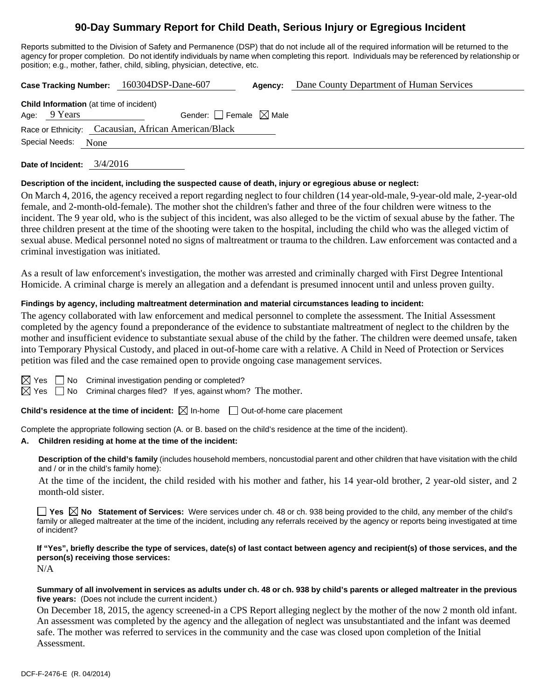# **90-Day Summary Report for Child Death, Serious Injury or Egregious Incident**

Reports submitted to the Division of Safety and Permanence (DSP) that do not include all of the required information will be returned to the agency for proper completion. Do not identify individuals by name when completing this report. Individuals may be referenced by relationship or position; e.g., mother, father, child, sibling, physician, detective, etc.

**Case Tracking Number:** 160304DSP-Dane-607 **Agency:** Dane County Department of Human Services

| <b>Child Information</b> (at time of incident) |                |                                                      |  |  |  |  |  |
|------------------------------------------------|----------------|------------------------------------------------------|--|--|--|--|--|
|                                                | Age: $9$ Years | Gender: $ $ Female $\bowtie$ Male                    |  |  |  |  |  |
|                                                |                | Race or Ethnicity: Cacausian, African American/Black |  |  |  |  |  |
| Special Needs: None                            |                |                                                      |  |  |  |  |  |
|                                                |                |                                                      |  |  |  |  |  |

**Date of Incident:** 3/4/2016

## **Description of the incident, including the suspected cause of death, injury or egregious abuse or neglect:**

On March 4, 2016, the agency received a report regarding neglect to four children (14 year-old-male, 9-year-old male, 2-year-old female, and 2-month-old-female). The mother shot the children's father and three of the four children were witness to the incident. The 9 year old, who is the subject of this incident, was also alleged to be the victim of sexual abuse by the father. The three children present at the time of the shooting were taken to the hospital, including the child who was the alleged victim of sexual abuse. Medical personnel noted no signs of maltreatment or trauma to the children. Law enforcement was contacted and a criminal investigation was initiated.

As a result of law enforcement's investigation, the mother was arrested and criminally charged with First Degree Intentional Homicide. A criminal charge is merely an allegation and a defendant is presumed innocent until and unless proven guilty.

# **Findings by agency, including maltreatment determination and material circumstances leading to incident:**

The agency collaborated with law enforcement and medical personnel to complete the assessment. The Initial Assessment completed by the agency found a preponderance of the evidence to substantiate maltreatment of neglect to the children by the mother and insufficient evidence to substantiate sexual abuse of the child by the father. The children were deemed unsafe, taken into Temporary Physical Custody, and placed in out-of-home care with a relative. A Child in Need of Protection or Services petition was filed and the case remained open to provide ongoing case management services.

 $\Box$  No Criminal investigation pending or completed?

 $\boxtimes$  Yes  $\Box$  No Criminal charges filed? If yes, against whom? The mother.

**Child's residence at the time of incident:**  $\boxtimes$  In-home  $\Box$  Out-of-home care placement

Complete the appropriate following section (A. or B. based on the child's residence at the time of the incident).

## **A. Children residing at home at the time of the incident:**

**Description of the child's family** (includes household members, noncustodial parent and other children that have visitation with the child and / or in the child's family home):

 At the time of the incident, the child resided with his mother and father, his 14 year-old brother, 2 year-old sister, and 2 month-old sister.

**Yes No Statement of Services:** Were services under ch. 48 or ch. 938 being provided to the child, any member of the child's family or alleged maltreater at the time of the incident, including any referrals received by the agency or reports being investigated at time of incident?

#### **If "Yes", briefly describe the type of services, date(s) of last contact between agency and recipient(s) of those services, and the person(s) receiving those services:**  N/A

## **Summary of all involvement in services as adults under ch. 48 or ch. 938 by child's parents or alleged maltreater in the previous five years:** (Does not include the current incident.)

On December 18, 2015, the agency screened-in a CPS Report alleging neglect by the mother of the now 2 month old infant. An assessment was completed by the agency and the allegation of neglect was unsubstantiated and the infant was deemed safe. The mother was referred to services in the community and the case was closed upon completion of the Initial Assessment.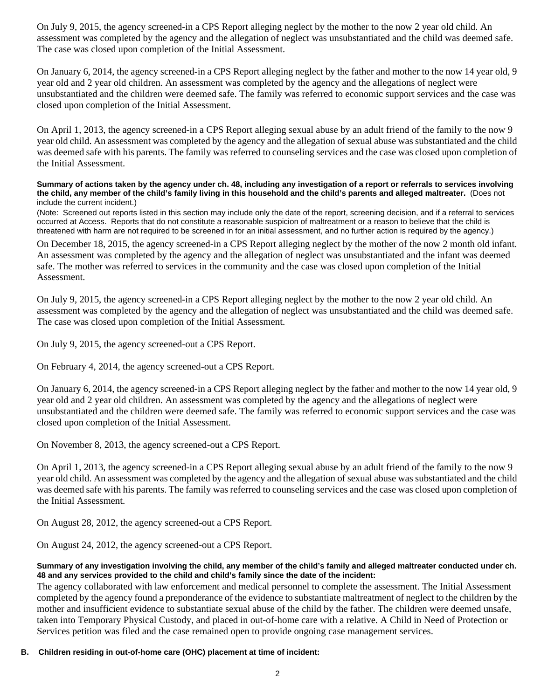On July 9, 2015, the agency screened-in a CPS Report alleging neglect by the mother to the now 2 year old child. An assessment was completed by the agency and the allegation of neglect was unsubstantiated and the child was deemed safe. The case was closed upon completion of the Initial Assessment.

On January 6, 2014, the agency screened-in a CPS Report alleging neglect by the father and mother to the now 14 year old, 9 year old and 2 year old children. An assessment was completed by the agency and the allegations of neglect were unsubstantiated and the children were deemed safe. The family was referred to economic support services and the case was closed upon completion of the Initial Assessment.

On April 1, 2013, the agency screened-in a CPS Report alleging sexual abuse by an adult friend of the family to the now 9 year old child. An assessment was completed by the agency and the allegation of sexual abuse was substantiated and the child was deemed safe with his parents. The family was referred to counseling services and the case was closed upon completion of the Initial Assessment.

**Summary of actions taken by the agency under ch. 48, including any investigation of a report or referrals to services involving the child, any member of the child's family living in this household and the child's parents and alleged maltreater.** (Does not include the current incident.)

(Note: Screened out reports listed in this section may include only the date of the report, screening decision, and if a referral to services occurred at Access. Reports that do not constitute a reasonable suspicion of maltreatment or a reason to believe that the child is threatened with harm are not required to be screened in for an initial assessment, and no further action is required by the agency.)

On December 18, 2015, the agency screened-in a CPS Report alleging neglect by the mother of the now 2 month old infant. An assessment was completed by the agency and the allegation of neglect was unsubstantiated and the infant was deemed safe. The mother was referred to services in the community and the case was closed upon completion of the Initial Assessment.

On July 9, 2015, the agency screened-in a CPS Report alleging neglect by the mother to the now 2 year old child. An assessment was completed by the agency and the allegation of neglect was unsubstantiated and the child was deemed safe. The case was closed upon completion of the Initial Assessment.

On July 9, 2015, the agency screened-out a CPS Report.

On February 4, 2014, the agency screened-out a CPS Report.

On January 6, 2014, the agency screened-in a CPS Report alleging neglect by the father and mother to the now 14 year old, 9 year old and 2 year old children. An assessment was completed by the agency and the allegations of neglect were unsubstantiated and the children were deemed safe. The family was referred to economic support services and the case was closed upon completion of the Initial Assessment.

On November 8, 2013, the agency screened-out a CPS Report.

On April 1, 2013, the agency screened-in a CPS Report alleging sexual abuse by an adult friend of the family to the now 9 year old child. An assessment was completed by the agency and the allegation of sexual abuse was substantiated and the child was deemed safe with his parents. The family was referred to counseling services and the case was closed upon completion of the Initial Assessment.

On August 28, 2012, the agency screened-out a CPS Report.

On August 24, 2012, the agency screened-out a CPS Report.

## **Summary of any investigation involving the child, any member of the child's family and alleged maltreater conducted under ch. 48 and any services provided to the child and child's family since the date of the incident:**

The agency collaborated with law enforcement and medical personnel to complete the assessment. The Initial Assessment completed by the agency found a preponderance of the evidence to substantiate maltreatment of neglect to the children by the mother and insufficient evidence to substantiate sexual abuse of the child by the father. The children were deemed unsafe, taken into Temporary Physical Custody, and placed in out-of-home care with a relative. A Child in Need of Protection or Services petition was filed and the case remained open to provide ongoing case management services.

**B. Children residing in out-of-home care (OHC) placement at time of incident:**